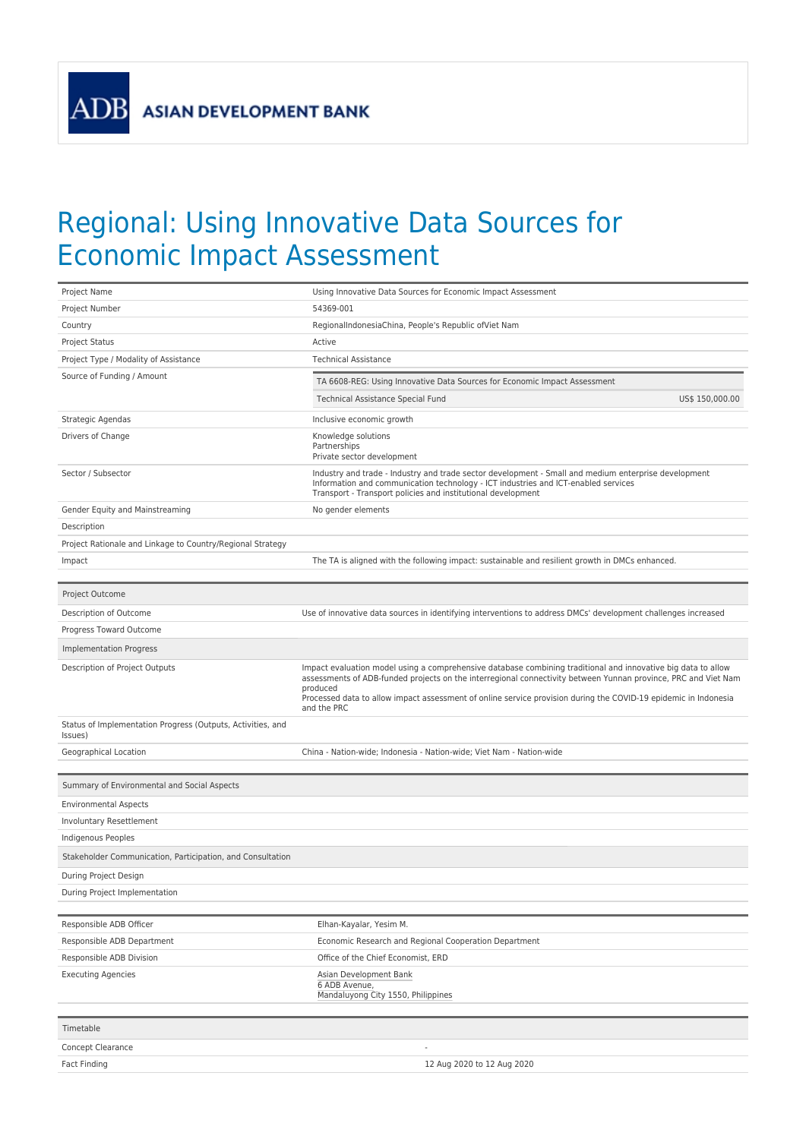## Regional: Using Innovative Data Sources for Economic Impact Assessment

| Project Name                                                           | Using Innovative Data Sources for Economic Impact Assessment                                                                                                                                                                                                                                                                                                                  |
|------------------------------------------------------------------------|-------------------------------------------------------------------------------------------------------------------------------------------------------------------------------------------------------------------------------------------------------------------------------------------------------------------------------------------------------------------------------|
| Project Number                                                         | 54369-001                                                                                                                                                                                                                                                                                                                                                                     |
| Country                                                                | RegionalIndonesiaChina, People's Republic of Viet Nam                                                                                                                                                                                                                                                                                                                         |
| <b>Project Status</b>                                                  | Active                                                                                                                                                                                                                                                                                                                                                                        |
| Project Type / Modality of Assistance                                  | <b>Technical Assistance</b>                                                                                                                                                                                                                                                                                                                                                   |
| Source of Funding / Amount                                             | TA 6608-REG: Using Innovative Data Sources for Economic Impact Assessment                                                                                                                                                                                                                                                                                                     |
|                                                                        | US\$ 150,000.00<br>Technical Assistance Special Fund                                                                                                                                                                                                                                                                                                                          |
| Strategic Agendas                                                      | Inclusive economic growth                                                                                                                                                                                                                                                                                                                                                     |
| Drivers of Change                                                      | Knowledge solutions                                                                                                                                                                                                                                                                                                                                                           |
|                                                                        | Partnerships<br>Private sector development                                                                                                                                                                                                                                                                                                                                    |
| Sector / Subsector                                                     | Industry and trade - Industry and trade sector development - Small and medium enterprise development<br>Information and communication technology - ICT industries and ICT-enabled services<br>Transport - Transport policies and institutional development                                                                                                                    |
| Gender Equity and Mainstreaming                                        | No gender elements                                                                                                                                                                                                                                                                                                                                                            |
| Description                                                            |                                                                                                                                                                                                                                                                                                                                                                               |
| Project Rationale and Linkage to Country/Regional Strategy             |                                                                                                                                                                                                                                                                                                                                                                               |
| Impact                                                                 | The TA is aligned with the following impact: sustainable and resilient growth in DMCs enhanced.                                                                                                                                                                                                                                                                               |
|                                                                        |                                                                                                                                                                                                                                                                                                                                                                               |
| Project Outcome                                                        |                                                                                                                                                                                                                                                                                                                                                                               |
| Description of Outcome                                                 | Use of innovative data sources in identifying interventions to address DMCs' development challenges increased                                                                                                                                                                                                                                                                 |
| Progress Toward Outcome                                                |                                                                                                                                                                                                                                                                                                                                                                               |
| <b>Implementation Progress</b>                                         |                                                                                                                                                                                                                                                                                                                                                                               |
| Description of Project Outputs                                         | Impact evaluation model using a comprehensive database combining traditional and innovative big data to allow<br>assessments of ADB-funded projects on the interregional connectivity between Yunnan province, PRC and Viet Nam<br>produced<br>Processed data to allow impact assessment of online service provision during the COVID-19 epidemic in Indonesia<br>and the PRC |
| Status of Implementation Progress (Outputs, Activities, and<br>Issues) |                                                                                                                                                                                                                                                                                                                                                                               |
| Geographical Location                                                  | China - Nation-wide; Indonesia - Nation-wide; Viet Nam - Nation-wide                                                                                                                                                                                                                                                                                                          |
|                                                                        |                                                                                                                                                                                                                                                                                                                                                                               |
| Summary of Environmental and Social Aspects                            |                                                                                                                                                                                                                                                                                                                                                                               |
| <b>Environmental Aspects</b>                                           |                                                                                                                                                                                                                                                                                                                                                                               |
| Involuntary Resettlement                                               |                                                                                                                                                                                                                                                                                                                                                                               |
| Indigenous Peoples                                                     |                                                                                                                                                                                                                                                                                                                                                                               |
| Stakeholder Communication, Participation, and Consultation             |                                                                                                                                                                                                                                                                                                                                                                               |
| During Project Design                                                  |                                                                                                                                                                                                                                                                                                                                                                               |
| During Project Implementation                                          |                                                                                                                                                                                                                                                                                                                                                                               |
|                                                                        |                                                                                                                                                                                                                                                                                                                                                                               |
| Responsible ADB Officer                                                | Elhan-Kayalar, Yesim M.                                                                                                                                                                                                                                                                                                                                                       |
| Responsible ADB Department                                             | Economic Research and Regional Cooperation Department                                                                                                                                                                                                                                                                                                                         |
| Responsible ADB Division                                               | Office of the Chief Economist, ERD                                                                                                                                                                                                                                                                                                                                            |
| <b>Executing Agencies</b>                                              | Asian Development Bank<br>6 ADB Avenue,<br>Mandaluyong City 1550, Philippines                                                                                                                                                                                                                                                                                                 |
| Timetable                                                              |                                                                                                                                                                                                                                                                                                                                                                               |
| Concept Clearance                                                      |                                                                                                                                                                                                                                                                                                                                                                               |
|                                                                        |                                                                                                                                                                                                                                                                                                                                                                               |